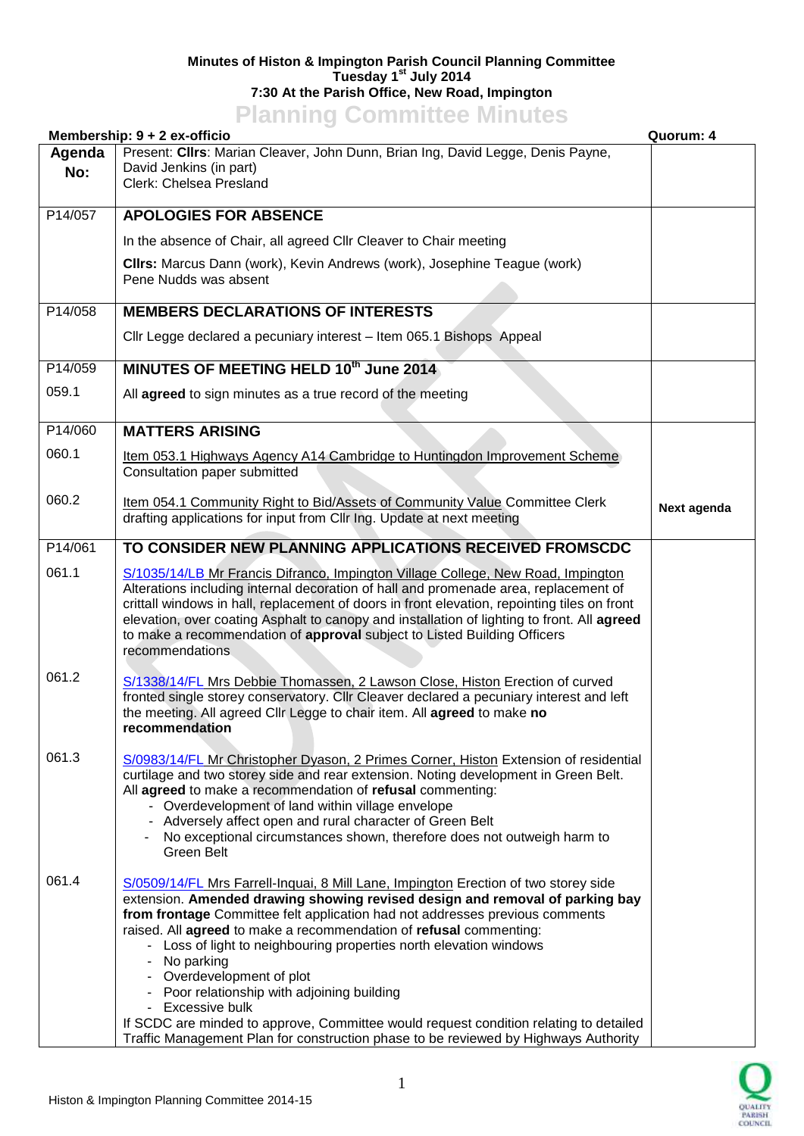## **Minutes of Histon & Impington Parish Council Planning Committee Tuesday 1 st July 2014 7:30 At the Parish Office, New Road, Impington**

**Planning Committee Minutes**

| Membership: 9 + 2 ex-officio<br>Quorum: 4 |                                                                                                                                                                                                                                                                                                                                                                                                                                                                                                                                                                                                                                                                                                 |             |
|-------------------------------------------|-------------------------------------------------------------------------------------------------------------------------------------------------------------------------------------------------------------------------------------------------------------------------------------------------------------------------------------------------------------------------------------------------------------------------------------------------------------------------------------------------------------------------------------------------------------------------------------------------------------------------------------------------------------------------------------------------|-------------|
| Agenda<br>No:                             | Present: Clirs: Marian Cleaver, John Dunn, Brian Ing, David Legge, Denis Payne,<br>David Jenkins (in part)<br>Clerk: Chelsea Presland                                                                                                                                                                                                                                                                                                                                                                                                                                                                                                                                                           |             |
| P14/057                                   | <b>APOLOGIES FOR ABSENCE</b>                                                                                                                                                                                                                                                                                                                                                                                                                                                                                                                                                                                                                                                                    |             |
|                                           | In the absence of Chair, all agreed Cllr Cleaver to Chair meeting                                                                                                                                                                                                                                                                                                                                                                                                                                                                                                                                                                                                                               |             |
|                                           | Clirs: Marcus Dann (work), Kevin Andrews (work), Josephine Teague (work)<br>Pene Nudds was absent                                                                                                                                                                                                                                                                                                                                                                                                                                                                                                                                                                                               |             |
| P14/058                                   | <b>MEMBERS DECLARATIONS OF INTERESTS</b>                                                                                                                                                                                                                                                                                                                                                                                                                                                                                                                                                                                                                                                        |             |
|                                           | Cllr Legge declared a pecuniary interest - Item 065.1 Bishops Appeal                                                                                                                                                                                                                                                                                                                                                                                                                                                                                                                                                                                                                            |             |
| P14/059                                   | MINUTES OF MEETING HELD 10th June 2014                                                                                                                                                                                                                                                                                                                                                                                                                                                                                                                                                                                                                                                          |             |
| 059.1                                     | All agreed to sign minutes as a true record of the meeting                                                                                                                                                                                                                                                                                                                                                                                                                                                                                                                                                                                                                                      |             |
| P14/060                                   | <b>MATTERS ARISING</b>                                                                                                                                                                                                                                                                                                                                                                                                                                                                                                                                                                                                                                                                          |             |
| 060.1                                     | Item 053.1 Highways Agency A14 Cambridge to Huntingdon Improvement Scheme<br>Consultation paper submitted                                                                                                                                                                                                                                                                                                                                                                                                                                                                                                                                                                                       |             |
| 060.2                                     | Item 054.1 Community Right to Bid/Assets of Community Value Committee Clerk<br>drafting applications for input from Cllr Ing. Update at next meeting                                                                                                                                                                                                                                                                                                                                                                                                                                                                                                                                            | Next agenda |
| P14/061                                   | TO CONSIDER NEW PLANNING APPLICATIONS RECEIVED FROMSCDC                                                                                                                                                                                                                                                                                                                                                                                                                                                                                                                                                                                                                                         |             |
| 061.1                                     | S/1035/14/LB Mr Francis Difranco, Impington Village College, New Road, Impington<br>Alterations including internal decoration of hall and promenade area, replacement of<br>crittall windows in hall, replacement of doors in front elevation, repointing tiles on front<br>elevation, over coating Asphalt to canopy and installation of lighting to front. All agreed<br>to make a recommendation of approval subject to Listed Building Officers<br>recommendations                                                                                                                                                                                                                          |             |
| 061.2                                     | S/1338/14/FL Mrs Debbie Thomassen, 2 Lawson Close, Histon Erection of curved<br>fronted single storey conservatory. Cllr Cleaver declared a pecuniary interest and left<br>the meeting. All agreed Cllr Legge to chair item. All agreed to make no<br>recommendation                                                                                                                                                                                                                                                                                                                                                                                                                            |             |
| 061.3                                     | S/0983/14/FL Mr Christopher Dyason, 2 Primes Corner, Histon Extension of residential<br>curtilage and two storey side and rear extension. Noting development in Green Belt.<br>All agreed to make a recommendation of refusal commenting:<br>- Overdevelopment of land within village envelope<br>- Adversely affect open and rural character of Green Belt<br>No exceptional circumstances shown, therefore does not outweigh harm to<br>Green Belt                                                                                                                                                                                                                                            |             |
| 061.4                                     | S/0509/14/FL Mrs Farrell-Inquai, 8 Mill Lane, Impington Erection of two storey side<br>extension. Amended drawing showing revised design and removal of parking bay<br>from frontage Committee felt application had not addresses previous comments<br>raised. All agreed to make a recommendation of refusal commenting:<br>- Loss of light to neighbouring properties north elevation windows<br>- No parking<br>- Overdevelopment of plot<br>- Poor relationship with adjoining building<br>- Excessive bulk<br>If SCDC are minded to approve, Committee would request condition relating to detailed<br>Traffic Management Plan for construction phase to be reviewed by Highways Authority |             |

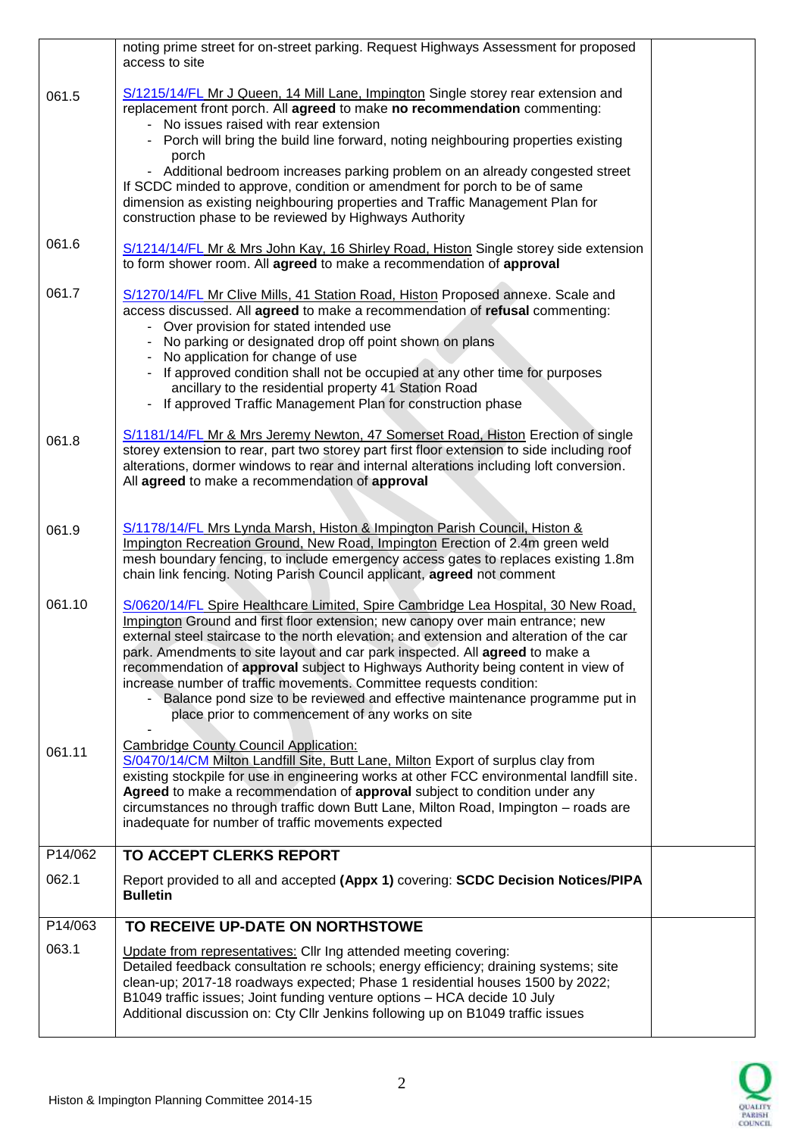|         | noting prime street for on-street parking. Request Highways Assessment for proposed<br>access to site                                                                                  |  |
|---------|----------------------------------------------------------------------------------------------------------------------------------------------------------------------------------------|--|
| 061.5   | S/1215/14/FL Mr J Queen, 14 Mill Lane, Impington Single storey rear extension and                                                                                                      |  |
|         | replacement front porch. All agreed to make no recommendation commenting:<br>- No issues raised with rear extension                                                                    |  |
|         | - Porch will bring the build line forward, noting neighbouring properties existing                                                                                                     |  |
|         | porch<br>- Additional bedroom increases parking problem on an already congested street                                                                                                 |  |
|         | If SCDC minded to approve, condition or amendment for porch to be of same                                                                                                              |  |
|         | dimension as existing neighbouring properties and Traffic Management Plan for<br>construction phase to be reviewed by Highways Authority                                               |  |
| 061.6   | S/1214/14/FL Mr & Mrs John Kay, 16 Shirley Road, Histon Single storey side extension                                                                                                   |  |
|         | to form shower room. All agreed to make a recommendation of approval                                                                                                                   |  |
| 061.7   | S/1270/14/FL Mr Clive Mills, 41 Station Road, Histon Proposed annexe. Scale and                                                                                                        |  |
|         | access discussed. All agreed to make a recommendation of refusal commenting:<br>- Over provision for stated intended use                                                               |  |
|         | - No parking or designated drop off point shown on plans                                                                                                                               |  |
|         | No application for change of use<br>If approved condition shall not be occupied at any other time for purposes                                                                         |  |
|         | ancillary to the residential property 41 Station Road                                                                                                                                  |  |
|         | - If approved Traffic Management Plan for construction phase                                                                                                                           |  |
| 061.8   | S/1181/14/FL Mr & Mrs Jeremy Newton, 47 Somerset Road, Histon Erection of single                                                                                                       |  |
|         | storey extension to rear, part two storey part first floor extension to side including roof<br>alterations, dormer windows to rear and internal alterations including loft conversion. |  |
|         | All agreed to make a recommendation of approval                                                                                                                                        |  |
|         |                                                                                                                                                                                        |  |
| 061.9   | S/1178/14/FL Mrs Lynda Marsh, Histon & Impington Parish Council, Histon &<br>Impington Recreation Ground, New Road, Impington Erection of 2.4m green weld                              |  |
|         | mesh boundary fencing, to include emergency access gates to replaces existing 1.8m                                                                                                     |  |
|         | chain link fencing. Noting Parish Council applicant, agreed not comment                                                                                                                |  |
| 061.10  | S/0620/14/FL Spire Healthcare Limited, Spire Cambridge Lea Hospital, 30 New Road,<br>Impington Ground and first floor extension; new canopy over main entrance; new                    |  |
|         | external steel staircase to the north elevation; and extension and alteration of the car                                                                                               |  |
|         | park. Amendments to site layout and car park inspected. All agreed to make a<br>recommendation of approval subject to Highways Authority being content in view of                      |  |
|         | increase number of traffic movements. Committee requests condition:                                                                                                                    |  |
|         | - Balance pond size to be reviewed and effective maintenance programme put in<br>place prior to commencement of any works on site                                                      |  |
|         | <b>Cambridge County Council Application:</b>                                                                                                                                           |  |
| 061.11  | S/0470/14/CM Milton Landfill Site, Butt Lane, Milton Export of surplus clay from                                                                                                       |  |
|         | existing stockpile for use in engineering works at other FCC environmental landfill site.<br>Agreed to make a recommendation of approval subject to condition under any                |  |
|         | circumstances no through traffic down Butt Lane, Milton Road, Impington - roads are                                                                                                    |  |
|         | inadequate for number of traffic movements expected                                                                                                                                    |  |
| P14/062 | TO ACCEPT CLERKS REPORT                                                                                                                                                                |  |
| 062.1   | Report provided to all and accepted (Appx 1) covering: SCDC Decision Notices/PIPA<br><b>Bulletin</b>                                                                                   |  |
| P14/063 | TO RECEIVE UP-DATE ON NORTHSTOWE                                                                                                                                                       |  |
| 063.1   | Update from representatives: Cllr Ing attended meeting covering:<br>Detailed feedback consultation re schools; energy efficiency; draining systems; site                               |  |
|         | clean-up; 2017-18 roadways expected; Phase 1 residential houses 1500 by 2022;                                                                                                          |  |
|         | B1049 traffic issues; Joint funding venture options - HCA decide 10 July<br>Additional discussion on: Cty Cllr Jenkins following up on B1049 traffic issues                            |  |
|         |                                                                                                                                                                                        |  |